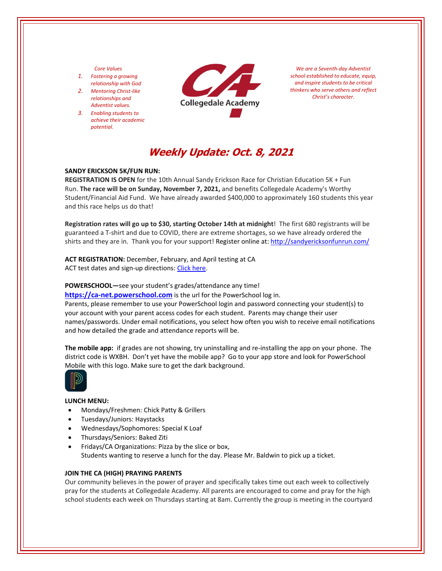## *Core Values*

- *1. Fostering a growing relationship with God*
- *2. Mentoring Christ‐like relationships and Adventist values.*
- *3. Enabling students to achieve their academic potential.*



*We are a Seventh‐day Adventist school established to educate, equip, and inspire students to be critical thinkers who serve others and reflect Christ's character.*

# **Weekly Update: Oct. 8, 2021**

## **SANDY ERICKSON 5K/FUN RUN:**

**REGISTRATION IS OPEN** for the 10th Annual Sandy Erickson Race for Christian Education 5K + Fun Run. **The race will be on Sunday, November 7, 2021,** and benefits Collegedale Academy's Worthy Student/Financial Aid Fund. We have already awarded \$400,000 to approximately 160 students this year and this race helps us do that!

**Registration rates will go up to \$30, starting October 14th at midnight**! The first 680 registrants will be guaranteed a T‐shirt and due to COVID, there are extreme shortages, so we have already ordered the shirts and they are in. Thank you for your support! Register online at: <http://sandyericksonfunrun.com/>

**ACT REGISTRATION:** December, February, and April testing at CA ACT test dates and sign-up directions: Click [here.](https://www.act.org/)

# **POWERSCHOOL—**see your student's grades/attendance any time!

**https://ca-[net.powerschool.com](https://ca-net.powerschool.com/public/)** is the url for the PowerSchool log in. Parents, please remember to use your PowerSchool login and password connecting your student(s) to your account with your parent access codes for each student. Parents may change their user names/passwords. Under email notifications, you select how often you wish to receive email notifications and how detailed the grade and attendance reports will be.

**The mobile app:** if grades are not showing, try uninstalling and re‐installing the app on your phone. The district code is WXBH. Don't yet have the mobile app? Go to your app store and look for PowerSchool Mobile with this logo. Make sure to get the dark background.



#### **LUNCH MENU:**

- Mondays/Freshmen: Chick Patty & Grillers
- Tuesdays/Juniors: Haystacks
- Wednesdays/Sophomores: Special K Loaf
- Thursdays/Seniors: Baked Ziti
- Fridays/CA Organizations: Pizza by the slice or box, Students wanting to reserve a lunch for the day. Please Mr. Baldwin to pick up a ticket.

#### **JOIN THE CA (HIGH) PRAYING PARENTS**

Our community believes in the power of prayer and specifically takes time out each week to collectively pray for the students at Collegedale Academy. All parents are encouraged to come and pray for the high school students each week on Thursdays starting at 8am. Currently the group is meeting in the courtyard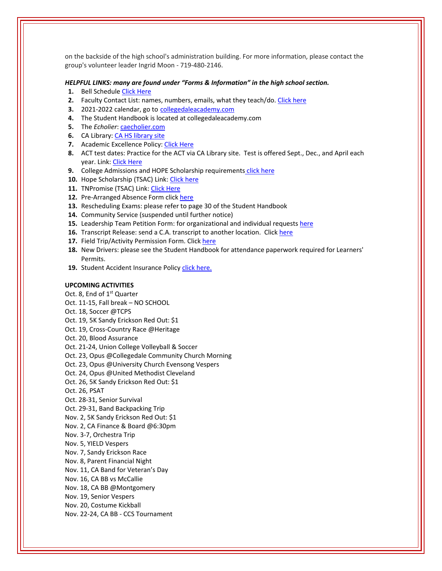on the backside of the high school's administration building. For more information, please contact the group's volunteer leader Ingrid Moon ‐ 719‐480‐2146.

#### *HELPFUL LINKS: many are found under "Forms & Information" in the high school section.*

- **1.** Bell Schedule Click [Here](https://www.collegedaleacademy.com/wp-content/uploads/2018/08/Bell-Schedule.pdf)
- **2.** Faculty Contact List: names, numbers, emails, what they teach/do. Click [here](https://www.collegedaleacademy.com/wp-content/uploads/2021/08/faculty-only-2021-2022.pdf)
- **3.** 2021‐2022 calendar, go to [collegedaleacademy.com](https://www.collegedaleacademy.com/calendars/)
- **4.** The Student Handbook is located at collegedaleacademy.com
- **5.** The *Echolier*: **[caecholier.com](https://caecholier.com/)**
- **6.** CA Library: CA HS [library](https://southernuniongcc.mlasolutions.com/m5/catalog/(S(cz33idtpr5nitzjgqo4cxzlz))/default.aspx?installation=CDA) site
- **7.** Academic Excellence Policy: Click [Here](https://www.collegedaleacademy.com/wp-content/uploads/2018/08/Academic-Excellence-Policy.pdf)
- **8.** ACT test dates: Practice for the ACT via CA Library site. Test is offered Sept., Dec., and April each year. Link: Click [Here](https://www.act.org/)
- **9.** College Admissions and HOPE Scholarship requirements click [here](https://www.collegedaleacademy.com/wp-content/uploads/2019/08/TSAC-Scholarship-Info.pdf)
- 10. Hope Scholarship (TSAC) Link: Click [here](https://www.tn.gov/collegepays/money-for-college/tn-education-lottery-programs/tennessee-hope-scholarship.html)
- **11.** TNPromise (TSAC) Link: Click [Here](https://www.tn.gov/tnpromise.html)
- 12. Pre-Arranged Absence Form click [here](https://www.collegedaleacademy.com/wp-content/uploads/2016/11/Class-Absence-Request-Form-May-2017.pdf)
- **13.** Rescheduling Exams: please refer to page 30 of the Student Handbook
- **14.** Community Service (suspended until further notice)
- **15.** Leadership Team Petition Form: for organizational and individual requests [here](https://www.collegedaleacademy.com/wp-content/uploads/2019/08/Leadership-Petition-SSch.pdf)
- **16.** Transcript Release: send a C.A. transcript to another location. Click [here](https://www.collegedaleacademy.com/wp-content/uploads/2016/12/transcriptrelease2014.pdf)
- **17.** Field Trip/Activity Permission Form. Click [here](https://www.collegedaleacademy.com/wp-content/uploads/2018/08/Field-Trip-form.pdf)
- **18.** New Drivers: please see the Student Handbook for attendance paperwork required for Learners' Permits.
- 19. Student Accident Insurance Policy click [here.](https://adventistrisk.org/en-us/insurance/nad/k-12-student-accident)

#### **UPCOMING ACTIVITIES**

- Oct. 8, End of 1<sup>st</sup> Quarter
- Oct. 11‐15, Fall break NO SCHOOL
- Oct. 18, Soccer @TCPS
- Oct. 19, 5K Sandy Erickson Red Out: \$1
- Oct. 19, Cross‐Country Race @Heritage
- Oct. 20, Blood Assurance
- Oct. 21‐24, Union College Volleyball & Soccer
- Oct. 23, Opus @Collegedale Community Church Morning
- Oct. 23, Opus @University Church Evensong Vespers
- Oct. 24, Opus @United Methodist Cleveland
- Oct. 26, 5K Sandy Erickson Red Out: \$1
- Oct. 26, PSAT
- Oct. 28‐31, Senior Survival
- Oct. 29‐31, Band Backpacking Trip
- Nov. 2, 5K Sandy Erickson Red Out: \$1
- Nov. 2, CA Finance & Board @6:30pm
- Nov. 3‐7, Orchestra Trip
- Nov. 5, YIELD Vespers
- Nov. 7, Sandy Erickson Race
- Nov. 8, Parent Financial Night
- Nov. 11, CA Band for Veteran's Day
- Nov. 16, CA BB vs McCallie
- Nov. 18, CA BB @Montgomery
- Nov. 19, Senior Vespers
- Nov. 20, Costume Kickball
- Nov. 22‐24, CA BB ‐ CCS Tournament